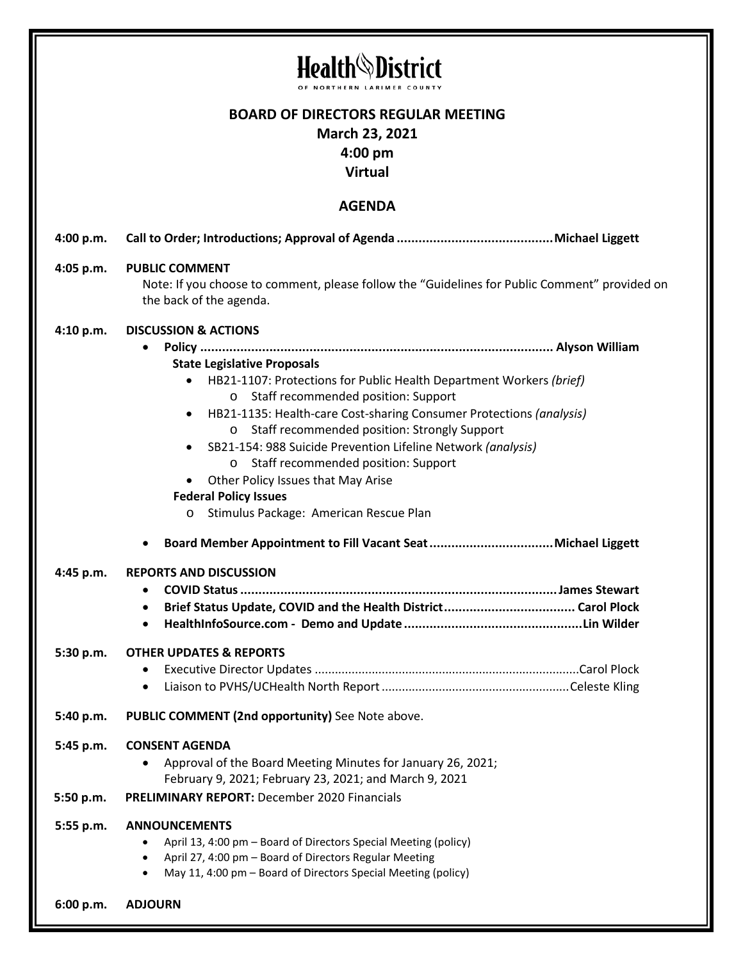|                        | <b>Health</b><br><b>District</b><br>NORTHERN LARIMER                                                                                                                                                                                                                                                                                                                                                                                                                                                                                                                                                                                                                  |
|------------------------|-----------------------------------------------------------------------------------------------------------------------------------------------------------------------------------------------------------------------------------------------------------------------------------------------------------------------------------------------------------------------------------------------------------------------------------------------------------------------------------------------------------------------------------------------------------------------------------------------------------------------------------------------------------------------|
|                        | <b>BOARD OF DIRECTORS REGULAR MEETING</b><br>March 23, 2021<br>$4:00 \text{ pm}$                                                                                                                                                                                                                                                                                                                                                                                                                                                                                                                                                                                      |
| <b>Virtual</b>         |                                                                                                                                                                                                                                                                                                                                                                                                                                                                                                                                                                                                                                                                       |
| <b>AGENDA</b>          |                                                                                                                                                                                                                                                                                                                                                                                                                                                                                                                                                                                                                                                                       |
| 4:00 p.m.              |                                                                                                                                                                                                                                                                                                                                                                                                                                                                                                                                                                                                                                                                       |
| 4:05 p.m.              | <b>PUBLIC COMMENT</b><br>Note: If you choose to comment, please follow the "Guidelines for Public Comment" provided on<br>the back of the agenda.                                                                                                                                                                                                                                                                                                                                                                                                                                                                                                                     |
| 4:10 p.m.<br>4:45 p.m. | <b>DISCUSSION &amp; ACTIONS</b><br><b>State Legislative Proposals</b><br>HB21-1107: Protections for Public Health Department Workers (brief)<br>$\bullet$<br>Staff recommended position: Support<br>O<br>HB21-1135: Health-care Cost-sharing Consumer Protections (analysis)<br>٠<br>o Staff recommended position: Strongly Support<br>SB21-154: 988 Suicide Prevention Lifeline Network (analysis)<br>$\bullet$<br>Staff recommended position: Support<br>$\circ$<br>Other Policy Issues that May Arise<br><b>Federal Policy Issues</b><br>Stimulus Package: American Rescue Plan<br>$\circ$<br><b>REPORTS AND DISCUSSION</b><br>$\bullet$<br>$\bullet$<br>$\bullet$ |
| 5:30 p.m.              | <b>OTHER UPDATES &amp; REPORTS</b><br>٠<br>$\bullet$                                                                                                                                                                                                                                                                                                                                                                                                                                                                                                                                                                                                                  |
| 5:40 p.m.              | PUBLIC COMMENT (2nd opportunity) See Note above.                                                                                                                                                                                                                                                                                                                                                                                                                                                                                                                                                                                                                      |
| 5:45 p.m.              | <b>CONSENT AGENDA</b><br>Approval of the Board Meeting Minutes for January 26, 2021;<br>February 9, 2021; February 23, 2021; and March 9, 2021                                                                                                                                                                                                                                                                                                                                                                                                                                                                                                                        |
| 5:50 p.m.              | <b>PRELIMINARY REPORT: December 2020 Financials</b>                                                                                                                                                                                                                                                                                                                                                                                                                                                                                                                                                                                                                   |
| 5:55 p.m.              | <b>ANNOUNCEMENTS</b><br>April 13, 4:00 pm - Board of Directors Special Meeting (policy)<br>April 27, 4:00 pm - Board of Directors Regular Meeting<br>$\bullet$<br>May 11, 4:00 pm - Board of Directors Special Meeting (policy)<br>$\bullet$                                                                                                                                                                                                                                                                                                                                                                                                                          |
| 6:00 p.m.              | <b>ADJOURN</b>                                                                                                                                                                                                                                                                                                                                                                                                                                                                                                                                                                                                                                                        |